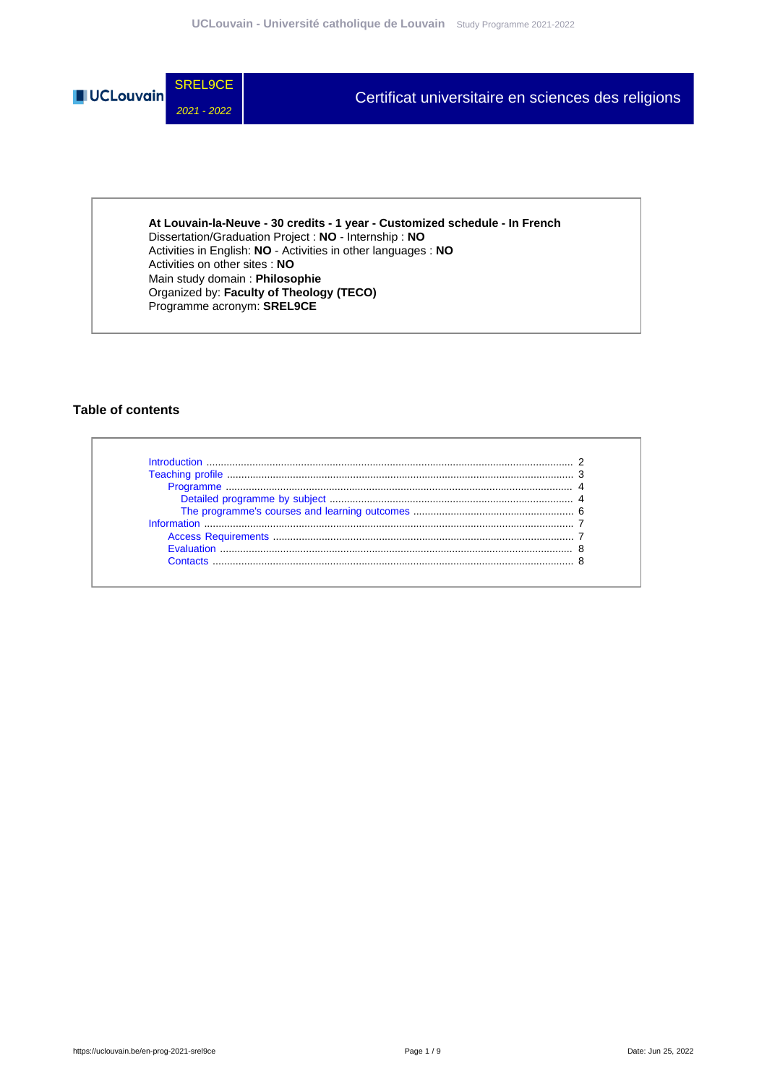

**At Louvain-la-Neuve - 30 credits - 1 year - Customized schedule - In French** Dissertation/Graduation Project : **NO** - Internship : **NO** Activities in English: **NO** - Activities in other languages : **NO** Activities on other sites : **NO** Main study domain : **Philosophie** Organized by: **Faculty of Theology (TECO)** Programme acronym: **SREL9CE**

## **Table of contents**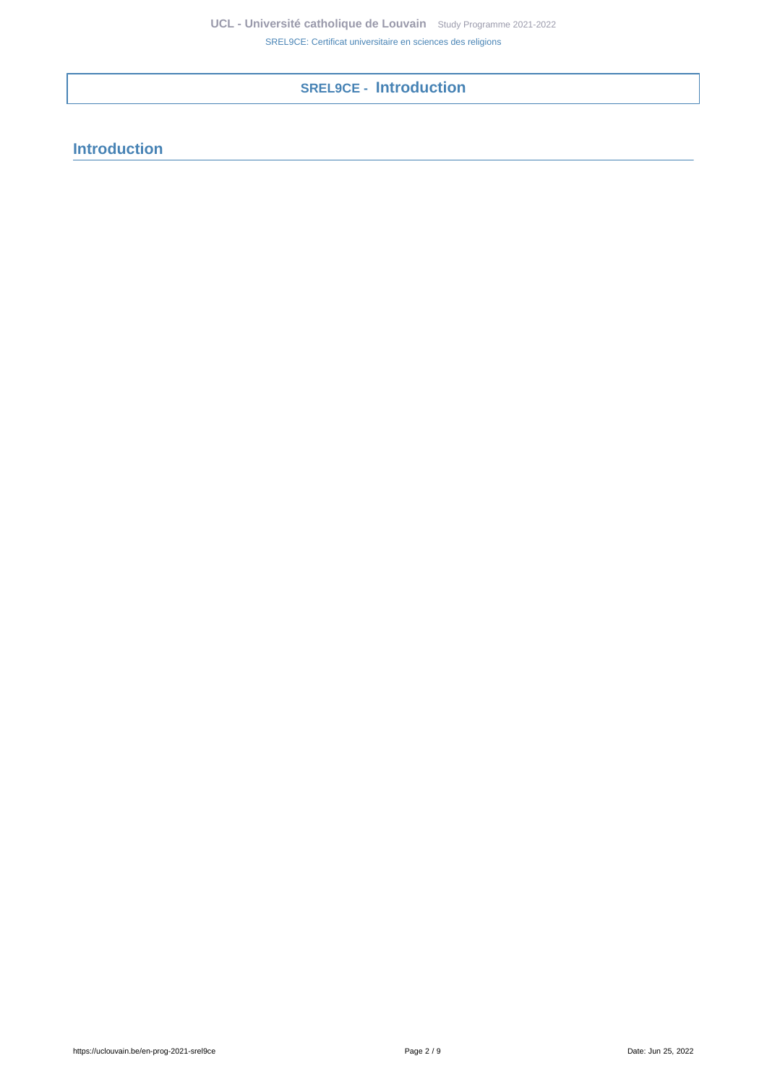**SREL9CE - Introduction**

# <span id="page-1-0"></span>**Introduction**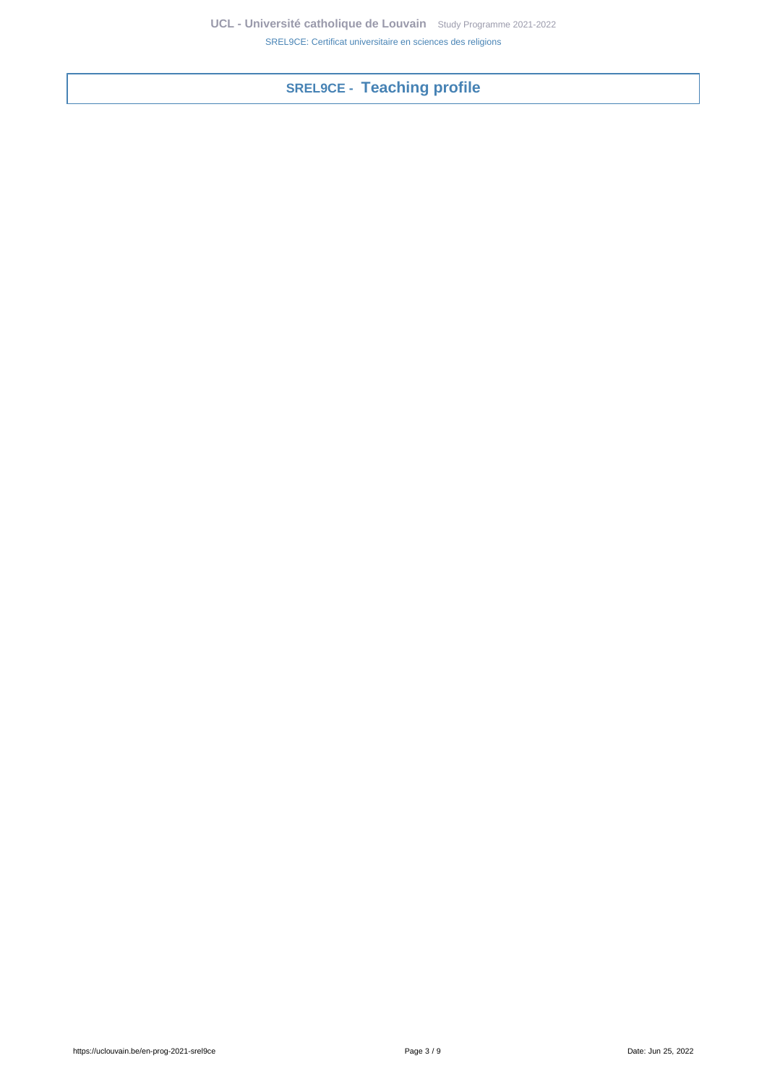<span id="page-2-0"></span>**SREL9CE - Teaching profile**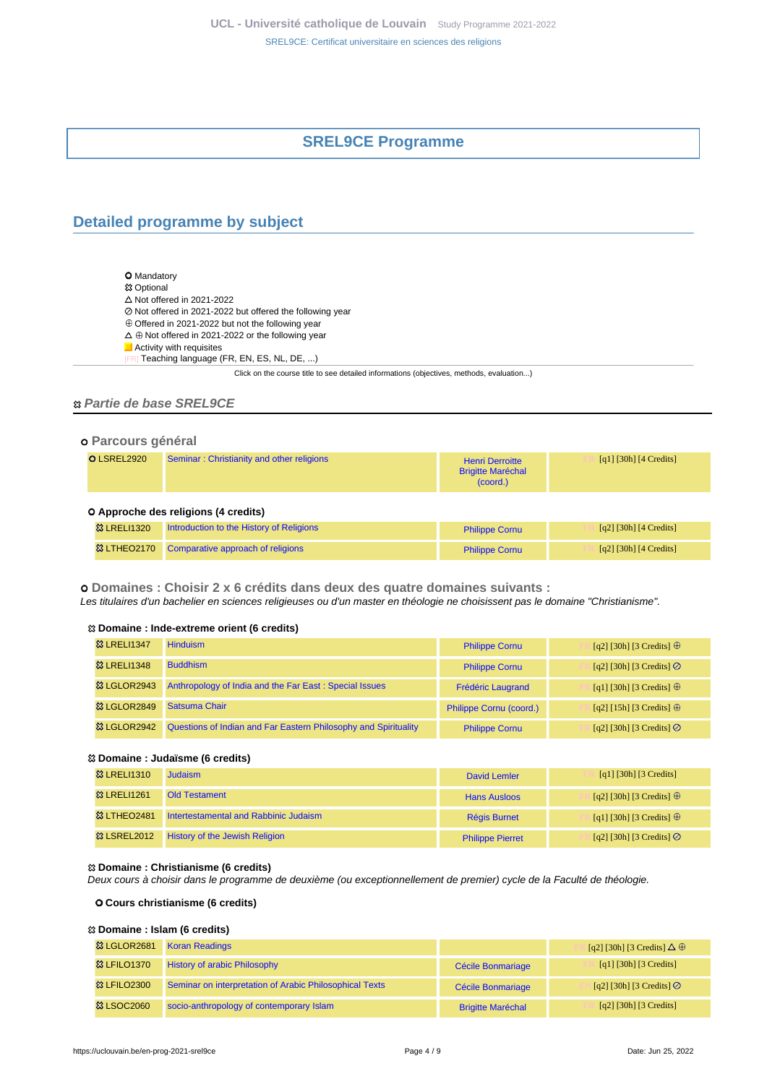# **SREL9CE Programme**

# <span id="page-3-1"></span><span id="page-3-0"></span>**Detailed programme by subject**

**O** Mandatory **惢 Optional**  $\Delta$  Not offered in 2021-2022 Not offered in 2021-2022 but offered the following year Offered in 2021-2022 but not the following year  $\Delta \oplus$  Not offered in 2021-2022 or the following year **Activity with requisites** Teaching language (FR, EN, ES, NL, DE, ...)

Click on the course title to see detailed informations (objectives, methods, evaluation...)

### **Partie de base SREL9CE**

### **Parcours général**

| O LSREL2920 | Seminar: Christianity and other religions | <b>Henri Derroitte</b><br><b>Brigitte Maréchal</b><br>(coord.) | [q1] [30h] [4 Credits] |
|-------------|-------------------------------------------|----------------------------------------------------------------|------------------------|
|             | A Annroche des religions (A credits)      |                                                                |                        |

#### **Approche des religions (4 credits)**

| 83 LRELI1320 | Introduction to the History of Religions      | <b>Philippe Cornu</b> | [q2] [30h] [4 Credits] |
|--------------|-----------------------------------------------|-----------------------|------------------------|
|              | ☆ LTHEO2170 Comparative approach of religions | <b>Philippe Cornu</b> | [q2] [30h] [4 Credits] |

 **Domaines : Choisir 2 x 6 crédits dans deux des quatre domaines suivants :** Les titulaires d'un bachelier en sciences religieuses ou d'un master en théologie ne choisissent pas le domaine "Christianisme".

#### **Domaine : Inde-extreme orient (6 credits)**

| <b>&amp; LRELI1347</b>  | <b>Hinduism</b>                                                 | <b>Philippe Cornu</b>    | [q2] [30h] [3 Credits] $\oplus$  |
|-------------------------|-----------------------------------------------------------------|--------------------------|----------------------------------|
| <b>&amp; LRELI1348</b>  | <b>Buddhism</b>                                                 | <b>Philippe Cornu</b>    | [q2] [30h] [3 Credits] $\oslash$ |
| <sup>83</sup> LGLOR2943 | Anthropology of India and the Far East: Special Issues          | <b>Frédéric Laugrand</b> | [q1] [30h] [3 Credits] $\oplus$  |
| <b>&amp; LGLOR2849</b>  | Satsuma Chair                                                   | Philippe Cornu (coord.)  | [q2] [15h] [3 Credits] $\oplus$  |
| <b>&amp; LGLOR2942</b>  | Questions of Indian and Far Eastern Philosophy and Spirituality | <b>Philippe Cornu</b>    | $[q2]$ [30h] [3 Credits] $\odot$ |

### **Domaine : Judaïsme (6 credits)**

| <b>&amp; LRELI1310</b> | <b>Judaism</b>                        | David Lemler            | [q1] [30h] [3 Credits]           |
|------------------------|---------------------------------------|-------------------------|----------------------------------|
| <b>83 LRELI1261</b>    | <b>Old Testament</b>                  | <b>Hans Ausloos</b>     | [q2] [30h] [3 Credits] $\oplus$  |
| <b>&amp; LTHEO2481</b> | Intertestamental and Rabbinic Judaism | <b>Régis Burnet</b>     | [q1] [30h] [3 Credits] $\oplus$  |
| <b>&amp; LSREL2012</b> | <b>History of the Jewish Religion</b> | <b>Philippe Pierret</b> | [q2] [30h] [3 Credits] $\oslash$ |

### **Domaine : Christianisme (6 credits)**

Deux cours à choisir dans le programme de deuxième (ou exceptionnellement de premier) cycle de la Faculté de théologie.

#### **Cours christianisme (6 credits)**

## **Domaine : Islam (6 credits)**

| <b>&amp; LGLOR2681</b>  | <b>Koran Readings</b>                                   |                          | $[q2] [30h] [3 Credits] \Delta \oplus$ |
|-------------------------|---------------------------------------------------------|--------------------------|----------------------------------------|
| <b>83 LFILO1370</b>     | <b>History of arabic Philosophy</b>                     | Cécile Bonmariage        | [q1] [30h] [3 Credits]                 |
| <b>&amp;3 LFILO2300</b> | Seminar on interpretation of Arabic Philosophical Texts | Cécile Bonmariage        | [q2] [30h] [3 Credits]                 |
| <b>&amp; LSOC2060</b>   | socio-anthropology of contemporary Islam                | <b>Brigitte Maréchal</b> | $\lceil q^2 \rceil$ [30h] [3 Credits]  |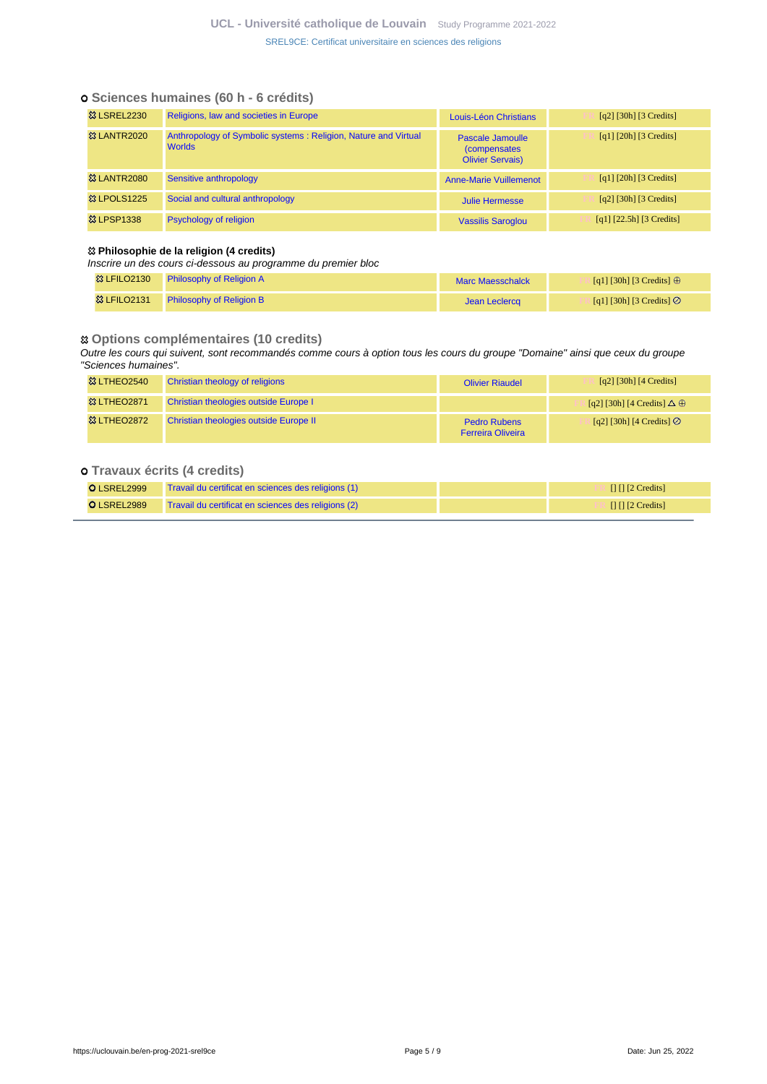## **Sciences humaines (60 h - 6 crédits)**

| <b>&amp; LSREL2230</b> | Religions, law and societies in Europe                                          | Louis-Léon Christians                                               | $\lceil q^2 \rceil$ [30h] [3 Credits]                             |
|------------------------|---------------------------------------------------------------------------------|---------------------------------------------------------------------|-------------------------------------------------------------------|
| <b>&amp; LANTR2020</b> | Anthropology of Symbolic systems: Religion, Nature and Virtual<br><b>Worlds</b> | Pascale Jamoulle<br><i>(compensates)</i><br><b>Olivier Servais)</b> | $\lceil q_1 \rceil$ $\lceil 20h \rceil$ $\lceil 3 \rceil$ Credits |
| <b>&amp; LANTR2080</b> | Sensitive anthropology                                                          | <b>Anne-Marie Vuillemenot</b>                                       | $\lceil q_1 \rceil$ $\lceil 20h \rceil$ $\lceil 3 \rceil$ Credits |
| <b>&amp; LPOLS1225</b> | Social and cultural anthropology                                                | Julie Hermesse                                                      | $\lceil q^2 \rceil$ [30h] [3 Credits]                             |
| <b>83 LPSP1338</b>     | <b>Psychology of religion</b>                                                   | <b>Vassilis Saroglou</b>                                            | $[q1]$ [22.5h] [3 Credits]                                        |

### **Philosophie de la religion (4 credits)**

Inscrire un des cours ci-dessous au programme du premier bloc

| <b>&amp;3 LFILO2130</b> | <b>Philosophy of Religion A</b> | Marc Maesschalck | [q1] [30h] [3 Credits] $\oplus$  |
|-------------------------|---------------------------------|------------------|----------------------------------|
| <b>&amp;3 LFILO2131</b> | <b>Philosophy of Religion B</b> | Jean Leclercg    | [q1] [30h] [3 Credits] $\oslash$ |

## **Options complémentaires (10 credits)**

Outre les cours qui suivent, sont recommandés comme cours à option tous les cours du groupe "Domaine" ainsi que ceux du groupe "Sciences humaines".

| <b>&amp; LTHEO2540</b> | Christian theology of religions        | <b>Olivier Riaudel</b>                          | $\lceil q^2 \rceil$ [30h] $\lceil 4 \right]$ Credits]  |
|------------------------|----------------------------------------|-------------------------------------------------|--------------------------------------------------------|
| <b>&amp; LTHEO2871</b> | Christian theologies outside Europe I  |                                                 | $\left[ q^2 \right]$ [30h] [4 Credits] $\Delta \oplus$ |
| <b>&amp; LTHEO2872</b> | Christian theologies outside Europe II | <b>Pedro Rubens</b><br><b>Ferreira Oliveira</b> | $[q2]$ [30h] [4 Credits] $\oslash$                     |

## **Travaux écrits (4 credits)**

| O LSREL2999 | Travail du certificat en sciences des religions (1) | $\Box$ $\Box$ [2 Credits] |
|-------------|-----------------------------------------------------|---------------------------|
| O LSREL2989 | Travail du certificat en sciences des religions (2) | $\Box$ $\Box$ [2 Credits] |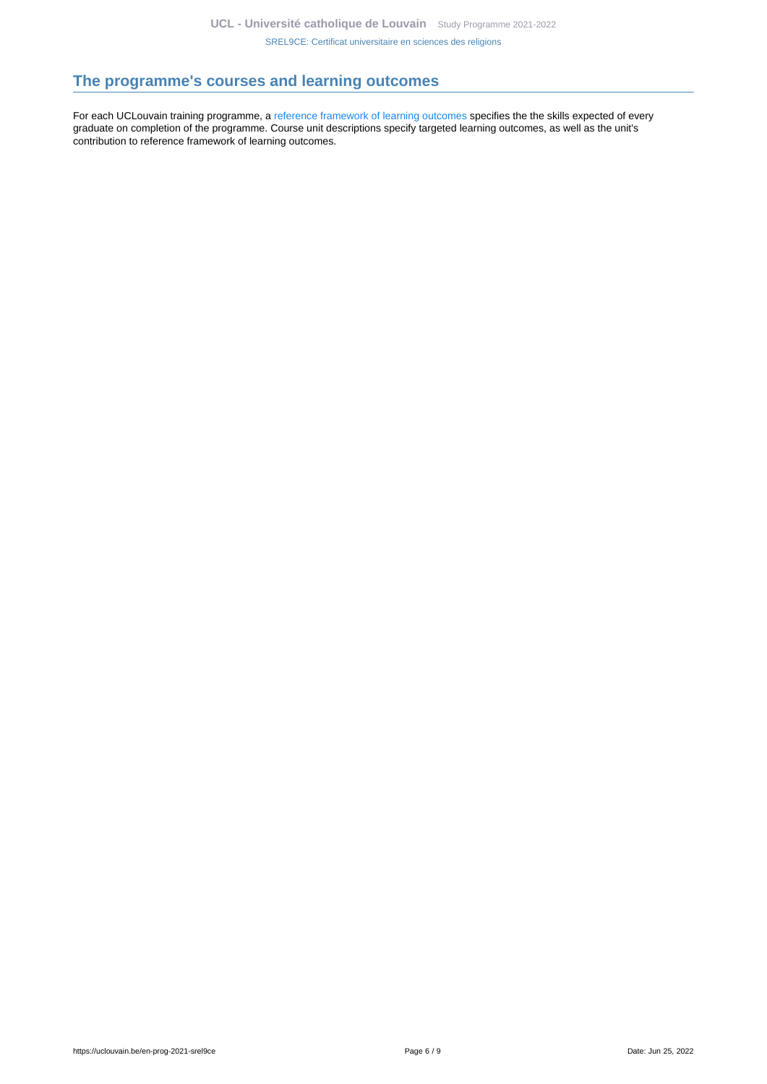# <span id="page-5-0"></span>**The programme's courses and learning outcomes**

For each UCLouvain training programme, a [reference framework of learning outcomes](https://uclouvain.be/en-prog-2021-srel9ce-competences_et_acquis.html) specifies the the skills expected of every graduate on completion of the programme. Course unit descriptions specify targeted learning outcomes, as well as the unit's contribution to reference framework of learning outcomes.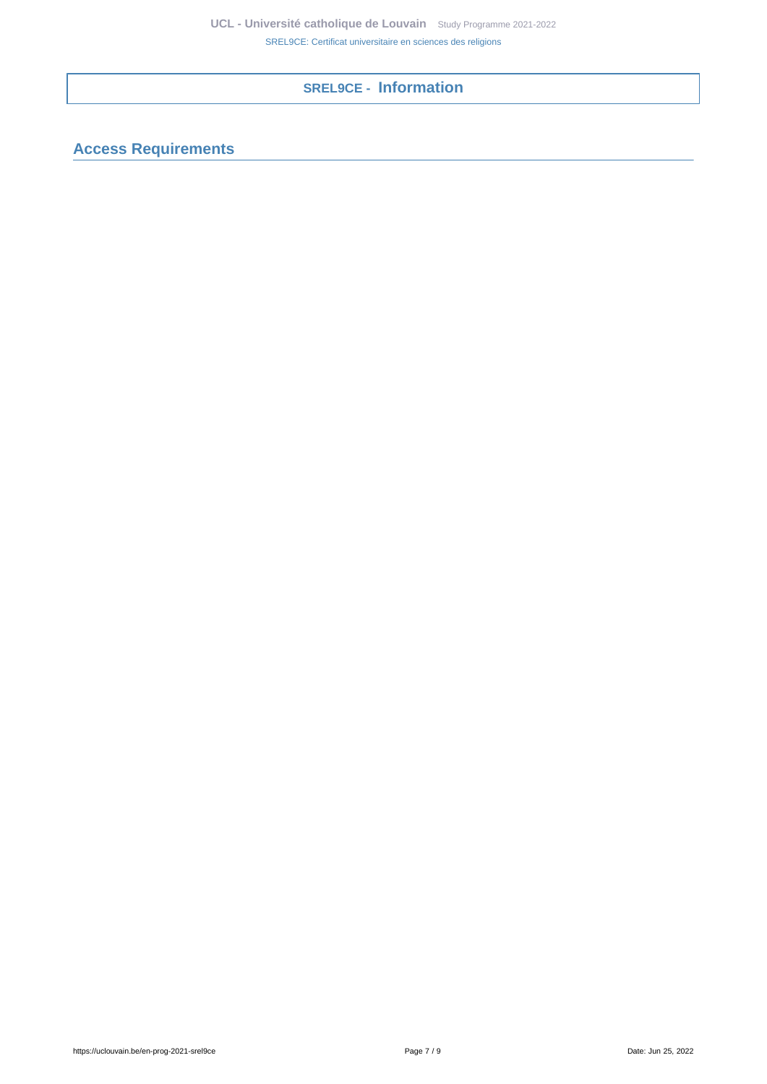# **SREL9CE - Information**

<span id="page-6-1"></span><span id="page-6-0"></span>**Access Requirements**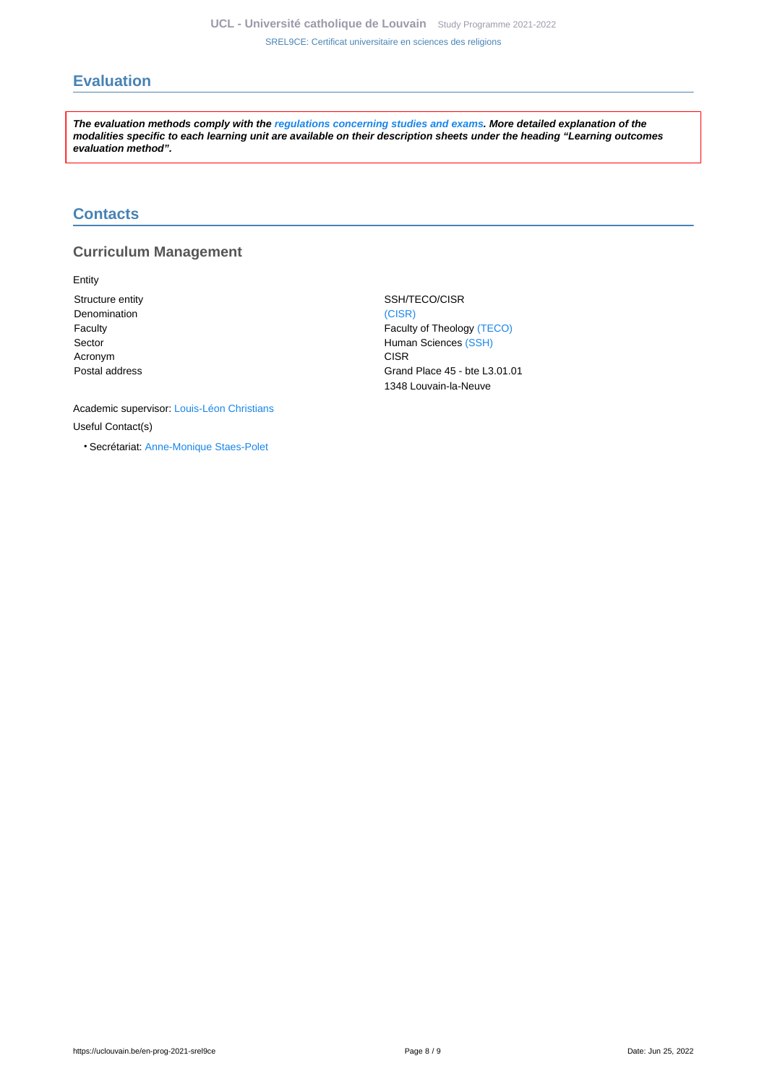# <span id="page-7-0"></span>**Evaluation**

**The evaluation methods comply with the [regulations concerning studies and exams](https://uclouvain.be/fr/decouvrir/rgee.html). More detailed explanation of the modalities specific to each learning unit are available on their description sheets under the heading "Learning outcomes evaluation method".**

# <span id="page-7-1"></span>**Contacts**

## **Curriculum Management**

Entity

Denomination [\(CISR\)](https://uclouvain.be/repertoires/entites/cisr) Acronym CISR COMMENT CONTROL CONTROL CONTROL CONTROL CONTROL CONTROL CONTROL CONTROL CONTROL CONTROL CONTROL CONTROL CONTROL CONTROL CONTROL CONTROL CONTROL CONTROL CONTROL CONTROL CONTROL CONTROL CONTROL CONTROL CONTROL C

Structure entity SSH/TECO/CISR Faculty **Faculty Faculty Faculty** of Theology [\(TECO\)](https://uclouvain.be/repertoires/entites/teco) Sector **Human Sciences** [\(SSH\)](https://uclouvain.be/repertoires/entites/ssh) Postal address Grand Place 45 - bte L3.01.01 1348 Louvain-la-Neuve

Academic supervisor: [Louis-Léon Christians](https://uclouvain.be/repertoires/louis-leon.christians) Useful Contact(s)

• Secrétariat: [Anne-Monique Staes-Polet](https://uclouvain.be/repertoires/anne-monique.staes-polet)